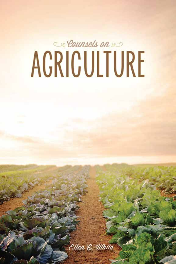# ex Counsels on & s ACRICULTURE

Ellen & Ulhite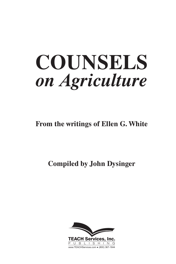**From the writings of Ellen G. White**

**Compiled by John Dysinger**

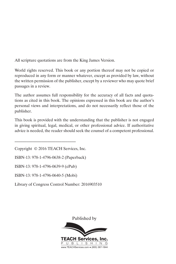All scripture quotations are from the King James Version.

World rights reserved. This book or any portion thereof may not be copied or reproduced in any form or manner whatever, except as provided by law, without the written permission of the publisher, except by a reviewer who may quote brief passages in a review.

The author assumes full responsibility for the accuracy of all facts and quotations as cited in this book. The opinions expressed in this book are the author's personal views and interpretations, and do not necessarily reflect those of the publisher.

This book is provided with the understanding that the publisher is not engaged in giving spiritual, legal, medical, or other professional advice. If authoritative advice is needed, the reader should seek the counsel of a competent professional.

 $\mathcal{L}=\{1,2,3,4,5\}$ 

Library of Congress Control Number: 2016903510

Published by



Copyright © 2016 TEACH Services, Inc.

ISBN-13: 978-1-4796-0638-2 (Paperback)

ISBN-13: 978-1-4796-0639-9 (ePub)

ISBN-13: 978-1-4796-0640-5 (Mobi)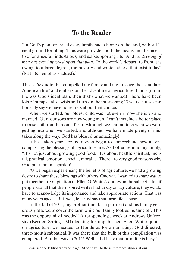# **To the Reader**

"In God's plan for Israel every family had a home on the land, with sufficient ground for tilling. Thus were provided both the means and the incentive for a useful, industrious, and self-supporting life. And *no devising of men has ever improved upon that plan*. To the world's departure from it is owing, to a large degree, the poverty and wretchedness that exist today" (MH 183, emphasis added).<sup>1</sup>

This is *the* quote that compelled my family and me to leave the "standard American life" and embark on the adventure of agriculture. If an agrarian life was God's ideal plan, then that's what we wanted! There have been lots of bumps, falls, twists and turns in the intervening 17 years, but we can honestly say we have no regrets about that choice.

When we started, our oldest child was not even 7; now she is 23 and married! Our four sons are now young men. I can't imagine a better place to raise children than on a farm. Although we had no idea what we were getting into when we started, and although we have made plenty of mistakes along the way, God has blessed us amazingly!

It has taken years for us to even begin to comprehend how all-encompassing the blessings of agriculture are. As I often remind my family, "It's not just about growing good food." It's about health: spiritual, mental, physical, emotional, social, moral.… There are very good reasons why God put man in a garden!

As we began experiencing the benefits of agriculture, we had a growing desire to share these blessings with others. One way I wanted to share was to put together a compilation of Ellen G. White's quotes on the subject. I felt if people saw all that this inspired writer had to say on agriculture, they would have to acknowledge its importance and take appropriate actions. That was many years ago…. But, well, let's just say that farm life is busy.

In the fall of 2011, my brother (and farm partner) and his family generously offered to cover the farm while our family took some time off. This was the opportunity I needed! After spending a week at Andrews University (Berrien Springs, MI) looking for unpublished Ellen White quotes on agriculture, we headed to Honduras for an amazing, God-directed, three-month sabbatical. It was there that the bulk of this compilation was completed. But that was in 2011! Well—did I say that farm life is busy?

<sup>1.</sup> Please see the Bibliography on page 181 for a key to these reference abbreviations.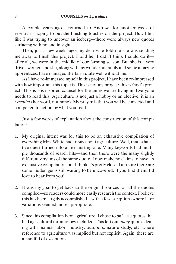A couple years ago I returned to Andrews for another week of research—hoping to put the finishing touches on the project. But, I felt like I was trying to uncover an iceberg—there were always new quotes surfacing with no end in sight.

Then, just a few weeks ago, my dear wife told me she was sending me away to finish this project. I told her I didn't think I could do it after all, we were in the middle of our farming season. But she is a very driven women and she, along with my wonderful family and some amazing apprentices, have managed the farm quite well without me.

As I have re-immersed myself in this project, I have been re-impressed with how important this topic is. This is not my project; this is God's project! This is His inspired counsel for the times we are living in. Everyone needs to read this! Agriculture is not just a hobby or an elective; it is an *essential* (her word, not mine). My prayer is that you will be convicted and compelled to action by what you read.

Just a few words of explanation about the construction of this compilation:

- 1. My original intent was for this to be an exhaustive compilation of everything Mrs. White had to say about agriculture. Well, that exhaustive quest turned into an exhausting one. Many keywords had multiple thousands of search hits—and then there were the many slightly different versions of the same quote. I now make no claims to have an exhaustive compilation, but I think it's pretty close. I am sure there are some hidden gems still waiting to be uncovered. If you find them, I'd love to hear from you!
- 2. It was my goal to get back to the original sources for all the quotes compiled—so readers could more easily research the context. I believe this has been largely accomplished—with a few exceptions where later variations seemed more appropriate.
- 3. Since this compilation is on agriculture, I chose to *only* use quotes that had agricultural terminology included. This left out *many* quotes dealing with manual labor, industry, outdoors, nature study, etc. where reference to agriculture was implied but not explicit. Again, there are a handful of exceptions.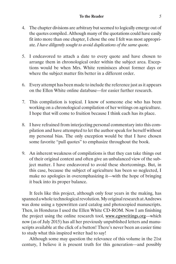#### **To the Reader** *5*

- 4. The chapter divisions are arbitrary but seemed to logically emerge out of the quotes compiled. Although many of the quotations could have easily fit into more than one chapter, I chose the one I felt was most appropriate. *I have diligently sought to avoid duplications of the same quote.*
- 5. I endeavored to attach a date to every quote and have chosen to arrange them in chronological order within the subject area. Exceptions would be when Mrs. White reminisces about former days or where the subject matter fits better in a different order.
- 6. Every attempt has been made to include the reference just as it appears on the Ellen White online database—for easier further research.
- 7. This compilation is topical. I know of someone else who has been working on a chronological compilation of her writings on agriculture. I hope that will come to fruition because I think each has its place.
- 8. I have refrained from interjecting personal commentary into this compilation and have attempted to let the author speak for herself without my personal bias. The only exception would be that I have chosen some favorite "pull quotes" to emphasize throughout the book.
- 9. An inherent weakness of compilations is that they can take things out of their original context and often give an unbalanced view of the subject matter. I have endeavored to avoid these shortcomings. But, in this case, because the subject of agriculture has been so neglected, I make no apologies in overemphasizing it—with the hope of bringing it back into its proper balance.

It feels like this project, although only four years in the making, has spanned a whole technological revolution. My original research at Andrews was done using a typewritten card catalog and photocopied manuscripts. Then, in Honduras I used the Ellen White CD-ROM. Now I am finishing the project using the online research tool, www.egwwritings.org—which now (as of July 2015) has all her previously unpublished letters and manuscripts available at the click of a button! There's never been an easier time to study what this inspired writer had to say!

Although some may question the relevance of this volume in the 21st century, I believe it is present truth for this generation—and possibly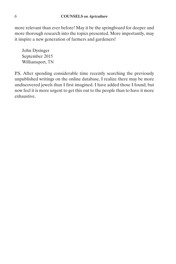more relevant than ever before! May it be the springboard for deeper and more thorough research into the topics presented. More importantly, may it inspire a new generation of farmers and gardeners!

John Dysinger September 2015 Williamsport, TN

P.S. After spending considerable time recently searching the previously unpublished writings on the online database, I realize there may be more undiscovered jewels than I first imagined. I have added those I found, but now feel it is more urgent to get this out to the people than to have it more exhaustive.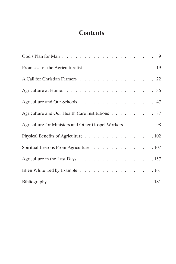# **Contents**

| Promises for the Agriculturalist 19                   |
|-------------------------------------------------------|
| A Call for Christian Farmers 22                       |
|                                                       |
| Agriculture and Our Schools 47                        |
| Agriculture and Our Health Care Institutions 87       |
| Agriculture for Ministers and Other Gospel Workers 98 |
| Physical Benefits of Agriculture 102                  |
| Spiritual Lessons From Agriculture 107                |
| Agriculture in the Last Days 157                      |
| Ellen White Led by Example 161                        |
|                                                       |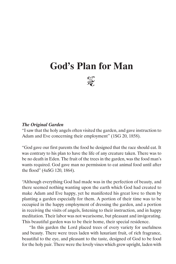# **God's Plan for Man**



#### *The Original Garden*

"I saw that the holy angels often visited the garden, and gave instruction to Adam and Eve concerning their employment" (1SG 20, 1858).

"God gave our first parents the food he designed that the race should eat. It was contrary to his plan to have the life of any creature taken. There was to be no death in Eden. The fruit of the trees in the garden, was the food man's wants required. God gave man no permission to eat animal food until after the flood" (4aSG 120, 1864).

"Although everything God had made was in the perfection of beauty, and there seemed nothing wanting upon the earth which God had created to make Adam and Eve happy, yet he manifested his great love to them by planting a garden especially for them. A portion of their time was to be occupied in the happy employment of dressing the garden, and a portion in receiving the visits of angels, listening to their instruction, and in happy meditation. Their labor was not wearisome, but pleasant and invigorating. This beautiful garden was to be their home, their special residence.

"In this garden the Lord placed trees of every variety for usefulness and beauty. There were trees laden with luxuriant fruit, of rich fragrance, beautiful to the eye, and pleasant to the taste, designed of God to be food for the holy pair. There were the lovely vines which grew upright, laden with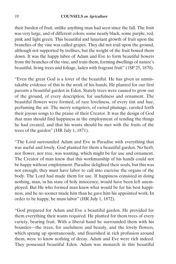their burden of fruit, unlike anything man had seen since the fall. The fruit was very large, and of different colors; some nearly black, some purple, red, pink and light green. This beautiful and luxuriant growth of fruit upon the branches of the vine was called grapes. They did not trail upon the ground, although not supported by trellises, but the weight of the fruit bowed them down. It was the happy labor of Adam and Eve to form beautiful bowers from the branches of the vine, and train them, forming dwellings of nature's beautiful, living trees and foliage, laden with fragrant fruit" (1SP 25, 1870).

"Even the great God is a lover of the beautiful. He has given us unmistakable evidence of this in the work of his hands. He planted for our first parents a beautiful garden in Eden. Stately trees were caused to grow out of the ground, of every description, for usefulness and ornament. The beautiful flowers were formed, of rare loveliness, of every tint and hue, perfuming the air. The merry songsters, of varied plumage, caroled forth their joyous songs to the praise of their Creator. It was the design of God that man should find happiness in the employment of tending the things he had created, and that his wants should be met with the fruits of the trees of the garden" (HR July 1, 1871).

"The Lord surrounded Adam and Eve in Paradise with everything that was useful and lovely. God planted for them a beautiful garden. No herb, nor flower, nor tree, was wanting, which might be for use and ornament. The Creator of man knew that this workmanship of his hands could not be happy without employment. Paradise delighted their souls, but this was not enough; they must have labor to call into exercise the organs of the body. The Lord had made them for use. If happiness consisted in doing nothing, man, in his state of holy innocence, would have been left unemployed. But He who formed man knew what would be for his best happiness, and he no sooner made him than he gave him his appointed work. In order to be happy, he must labor" (HR July 1, 1872).

"God prepared for Adam and Eve a beautiful garden. He provided for them everything their wants required. He planted for them trees of every variety, bearing fruit. With a liberal hand he surrounded them with his bounties—the trees, for usefulness and beauty, and the lovely flowers, which sprung up spontaneously, and flourished in rich profusion around them, were to know nothing of decay. Adam and Eve were rich indeed. They possessed beautiful Eden. Adam was monarch in this beautiful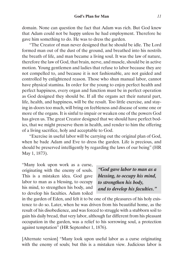domain. None can question the fact that Adam was rich. But God knew that Adam could not be happy unless he had employment. Therefore he gave him something to do. He was to dress the garden.

"The Creator of man never designed that he should be idle. The Lord formed man out of the dust of the ground, and breathed into his nostrils the breath of life, and man became a living soul. It was the law of nature, therefore the law of God, that brain, nerve, and muscle, should be in active motion. Young gentlemen and ladies that refuse to labor because they are not compelled to, and because it is not fashionable, are not guided and controlled by enlightened reason. Those who shun manual labor, cannot have physical stamina. In order for the young to enjoy perfect health and perfect happiness, every organ and function must be in perfect operation as God designed they should be. If all the organs act their natural part, life, health, and happiness, will be the result. Too little exercise, and staying in-doors too much, will bring on feebleness and disease of some one or more of the organs. It is sinful to impair or weaken one of the powers God has given us. The great Creator designed that we should have perfect bodies, that we might preserve them in health, and render to him the offering of a living sacrifice, holy and acceptable to God.

"Exercise in useful labor will be carrying out the original plan of God, when he bade Adam and Eve to dress the garden. Life is precious, and should be preserved intelligently by regarding the laws of our being" (HR May 1, 1873).

"Many look upon work as a curse, originating with the enemy of souls. This is a mistaken idea. God gave labor to man as a blessing, to occupy his mind, to strengthen his body, and to develop his faculties. Adam toiled

*"God gave labor to man as a blessing, to occupy his mind, to strengthen his body, and to develop his faculties."*

in the garden of Eden, and felt it to be one of the pleasures of his holy existence to do so. Later, when he was driven from his beautiful home, as the result of his disobedience, and was forced to struggle with a stubborn soil to gain his daily bread, that very labor, although far different from his pleasant occupation in the garden, was a relief to his sorrowing soul, a protection against temptation" (HR September 1, 1876).

[Alternate version] "Many look upon useful labor as a curse originating with the enemy of souls; but this is a mistaken view. Judicious labor is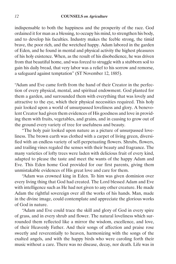indispensable to both the happiness and the prosperity of the race. God ordained it for man as a blessing, to occupy his mind, to strengthen his body, and to develop his faculties. Industry makes the feeble strong, the timid brave, the poor rich, and the wretched happy. Adam labored in the garden of Eden, and he found in mental and physical activity the highest pleasures of his holy existence. When, as the result of his disobedience, he was driven from that beautiful home, and was forced to struggle with a stubborn soil to gain his daily bread, that very labor was a relief to his sorrow and remorse, a safeguard against temptation" (ST November 12, 1885).

"Adam and Eve came forth from the hand of their Creator in the perfection of every physical, mental, and spiritual endowment. God planted for them a garden, and surrounded them with everything that was lovely and attractive to the eye, which their physical necessities required. This holy pair looked upon a world of unsurpassed loveliness and glory. A benevolent Creator had given them evidences of His goodness and love in providing them with fruits, vegetables, and grains, and in causing to grow out of the ground every variety of tree for usefulness and beauty.

"The holy pair looked upon nature as a picture of unsurpassed loveliness. The brown earth was clothed with a carpet of living green, diversified with an endless variety of self-perpetuating flowers. Shrubs, flowers, and trailing vines regaled the senses with their beauty and fragrance. The many varieties of lofty trees were laden with delicious fruit of every kind, adapted to please the taste and meet the wants of the happy Adam and Eve. This Eden home God provided for our first parents, giving them unmistakable evidences of His great love and care for them.

"Adam was crowned king in Eden. To him was given dominion over every living thing that God had created. The Lord blessed Adam and Eve with intelligence such as He had not given to any other creature. He made Adam the rightful sovereign over all the works of his hands. Man, made in the divine image, could contemplate and appreciate the glorious works of God in nature.

"Adam and Eve could trace the skill and glory of God in every spire of grass, and in every shrub and flower. The natural loveliness which surrounded them reflected like a mirror the wisdom, excellence, and love, of their Heavenly Father. And their songs of affection and praise rose sweetly and reverentially to heaven, harmonizing with the songs of the exalted angels, and with the happy birds who were caroling forth their music without a care. There was no disease, decay, nor death. Life was in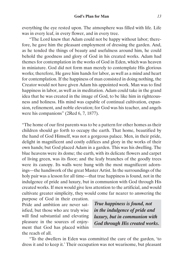everything the eye rested upon. The atmosphere was filled with life. Life was in every leaf, in every flower, and in every tree.

"The Lord knew that Adam could not be happy without labor; therefore, he gave him the pleasant employment of dressing the garden. And, as he tended the things of beauty and usefulness around him, he could behold the goodness and glory of God in his created works. Adam had themes for contemplation in the works of God in Eden, which was heaven in miniature. God did not form man merely to contemplate His glorious works; therefore, He gave him hands for labor, as well as a mind and heart for contemplation. If the happiness of man consisted in doing nothing, the Creator would not have given Adam his appointed work. Man was to find happiness in labor, as well as in meditation. Adam could take in the grand idea that he was created in the image of God, to be like him in righteousness and holiness. His mind was capable of continual cultivation, expansion, refinement, and noble elevation; for God was his teacher, and angels were his companions" (2Red 6, 7, 1877).

"The home of our first parents was to be a pattern for other homes as their children should go forth to occupy the earth. That home, beautified by the hand of God Himself, was not a gorgeous palace. Men, in their pride, delight in magnificent and costly edifices and glory in the works of their own hands; but God placed Adam in a garden. This was his dwelling. The blue heavens were its dome; the earth, with its delicate flowers and carpet of living green, was its floor; and the leafy branches of the goodly trees were its canopy. Its walls were hung with the most magnificent adornings—the handiwork of the great Master Artist. In the surroundings of the holy pair was a lesson for all time—that true happiness is found, not in the indulgence of pride and luxury, but in communion with God through His created works. If men would give less attention to the artificial, and would cultivate greater simplicity, they would come far nearer to answering the

purpose of God in their creation. Pride and ambition are never satisfied, but those who are truly wise will find substantial and elevating pleasure in the sources of enjoyment that God has placed within the reach of all.

*True happiness is found, not in the indulgence of pride and luxury, but in communion with God through His created works.*

"To the dwellers in Eden was committed the care of the garden, 'to dress it and to keep it.' Their occupation was not wearisome, but pleasant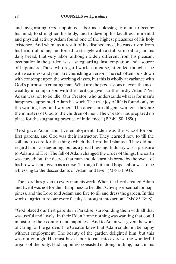and invigorating. God appointed labor as a blessing to man, to occupy his mind, to strengthen his body, and to develop his faculties. In mental and physical activity Adam found one of the highest pleasures of his holy existence. And when, as a result of his disobedience, he was driven from his beautiful home, and forced to struggle with a stubborn soil to gain his daily bread, that very labor, although widely different from his pleasant occupation in the garden, was a safeguard against temptation and a source of happiness. Those who regard work as a curse, attended though it be with weariness and pain, are cherishing an error. The rich often look down with contempt upon the working classes, but this is wholly at variance with God's purpose in creating man. What are the possessions of even the most wealthy in comparison with the heritage given to the lordly Adam? Yet Adam was not to be idle. Our Creator, who understands what is for man's happiness, appointed Adam his work. The true joy of life is found only by the working men and women. The angels are diligent workers; they are the ministers of God to the children of men. The Creator has prepared no place for the stagnating practice of indolence" (PP 49, 50, 1890).

"God gave Adam and Eve employment. Eden was the school for our first parents, and God was their instructor. They learned how to till the soil and to care for the things which the Lord had planted. They did not regard labor as degrading, but as a great blessing. Industry was a pleasure to Adam and Eve. The fall of Adam changed the order of things; the earth was cursed; but the decree that man should earn his bread by the sweat of his brow was not given as a curse. Through faith and hope, labor was to be a blessing to the descendants of Adam and Eve" (Ms8a-1894).

"The Lord has given to every man his work. When the Lord created Adam and Eve it was not for their happiness to be idle. Activity is essential for happiness, and the Lord told Adam and Eve to till and dress the garden. In this work of agriculture our every faculty is brought into action" (Ms185-1898).

"God placed our first parents in Paradise, surrounding them with all that was useful and lovely. In their Eden home nothing was wanting that could minister to their comfort and happiness. And to Adam was given the work of caring for the garden. The Creator knew that Adam could not be happy without employment. The beauty of the garden delighted him, but this was not enough. He must have labor to call into exercise the wonderful organs of the body. Had happiness consisted in doing nothing, man, in his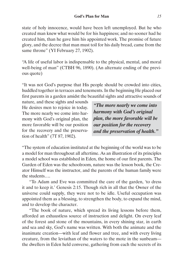state of holy innocence, would have been left unemployed. But he who created man knew what would be for his happiness; and no sooner had he created him, than he gave him his appointed work. The promise of future glory, and the decree that man must toil for his daily bread, came from the same throne" (YI February 27, 1902).

"A life of useful labor is indispensable to the physical, mental, and moral well-being of man" (CTBH 96, 1890). (An alternate ending of the previous quote)

"It was not God's purpose that His people should be crowded into cities, huddled together in terraces and tenements. In the beginning He placed our first parents in a garden amidst the beautiful sights and attractive sounds of

nature, and these sights and sounds He desires men to rejoice in today. The more nearly we come into harmony with God's original plan, the more favorable will be our position for the recovery and the preservation of health" (7T 87, 1902).

*"The more nearly we come into harmony with God's original plan, the more favorable will be our position for the recovery and the preservation of health."*

"The system of education instituted at the beginning of the world was to be a model for man throughout all aftertime. As an illustration of its principles a model school was established in Eden, the home of our first parents. The Garden of Eden was the schoolroom, nature was the lesson book, the Creator Himself was the instructor, and the parents of the human family were the students….

"To Adam and Eve was committed the care of the garden, 'to dress it and to keep it.' Genesis 2:15. Though rich in all that the Owner of the universe could supply, they were not to be idle. Useful occupation was appointed them as a blessing, to strengthen the body, to expand the mind, and to develop the character.

"The book of nature, which spread its living lessons before them, afforded an exhaustless source of instruction and delight. On every leaf of the forest and stone of the mountains, in every shining star, in earth and sea and sky, God's name was written. With both the animate and the inanimate creation—with leaf and flower and tree, and with every living creature, from the leviathan of the waters to the mote in the sunbeam the dwellers in Eden held converse, gathering from each the secrets of its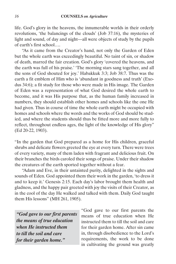life. God's glory in the heavens, the innumerable worlds in their orderly revolutions, 'the balancings of the clouds' (Job 37:16), the mysteries of light and sound, of day and night—all were objects of study by the pupils of earth's first school….

"As it came from the Creator's hand, not only the Garden of Eden but the whole earth was exceedingly beautiful. No taint of sin, or shadow of death, marred the fair creation. God's glory 'covered the heavens, and the earth was full of his praise.' 'The morning stars sang together, and all the sons of God shouted for joy.' Habakkuk 3:3; Job 38:7. Thus was the earth a fit emblem of Him who is 'abundant in goodness and truth' (Exodus 34:6); a fit study for those who were made in His image. The Garden of Eden was a representation of what God desired the whole earth to become, and it was His purpose that, as the human family increased in numbers, they should establish other homes and schools like the one He had given. Thus in course of time the whole earth might be occupied with homes and schools where the words and the works of God should be studied, and where the students should thus be fitted more and more fully to reflect, throughout endless ages, the light of the knowledge of His glory" (Ed 20-22, 1903).

"In the garden that God prepared as a home for His children, graceful shrubs and delicate flowers greeted the eye at every turn. There were trees of every variety, many of them laden with fragrant and delicious fruit. On their branches the birds caroled their songs of praise. Under their shadow the creatures of the earth sported together without a fear.

"Adam and Eve, in their untainted purity, delighted in the sights and sounds of Eden. God appointed them their work in the garden, 'to dress it and to keep it.' Genesis 2:15. Each day's labor brought them health and gladness, and the happy pair greeted with joy the visits of their Creator, as in the cool of the day He walked and talked with them. Daily God taught them His lessons" (MH 261, 1905).

*"God gave to our first parents the means of true education when He instructed them to till the soil and care for their garden home."* 

"God gave to our first parents the means of true education when He instructed them to till the soil and care for their garden home. After sin came in, through disobedience to the Lord's requirements, the work to be done in cultivating the ground was greatly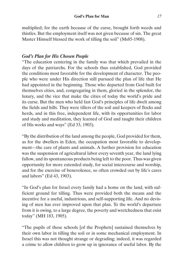multiplied; for the earth because of the curse, brought forth weeds and thistles. But the employment itself was not given because of sin. The great Master Himself blessed the work of tilling the soil" (Ms85-1908).

#### *God's Plan for His Chosen People*

"The education centering in the family was that which prevailed in the days of the patriarchs. For the schools thus established, God provided the conditions most favorable for the development of character. The people who were under His direction still pursued the plan of life that He had appointed in the beginning. Those who departed from God built for themselves cities, and, congregating in them, gloried in the splendor, the luxury, and the vice that make the cities of today the world's pride and its curse. But the men who held fast God's principles of life dwelt among the fields and hills. They were tillers of the soil and keepers of flocks and herds, and in this free, independent life, with its opportunities for labor and study and meditation, they learned of God and taught their children of His works and ways" (Ed 33, 1903).

"By the distribution of the land among the people, God provided for them, as for the dwellers in Eden, the occupation most favorable to development—the care of plants and animals. A further provision for education was the suspension of agricultural labor every seventh year, the land lying fallow, and its spontaneous products being left to the poor. Thus was given opportunity for more extended study, for social intercourse and worship, and for the exercise of benevolence, so often crowded out by life's cares and labors" (Ed 43, 1903).

"In God's plan for Israel every family had a home on the land, with sufficient ground for tilling. Thus were provided both the means and the incentive for a useful, industrious, and self-supporting life. And no devising of men has ever improved upon that plan. To the world's departure from it is owing, to a large degree, the poverty and wretchedness that exist today" (MH 183, 1905).

"The pupils of these schools [of the Prophets] sustained themselves by their own labor in tilling the soil or in some mechanical employment. In Israel this was not thought strange or degrading; indeed, it was regarded a crime to allow children to grow up in ignorance of useful labor. By the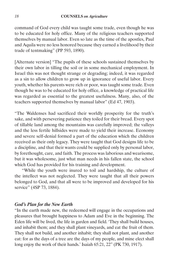command of God every child was taught some trade, even though he was to be educated for holy office. Many of the religious teachers supported themselves by manual labor. Even so late as the time of the apostles, Paul and Aquila were no less honored because they earned a livelihood by their trade of tentmaking" (PP 593, 1890).

[Alternate version] "The pupils of these schools sustained themselves by their own labor in tilling the soil or in some mechanical employment. In Israel this was not thought strange or degrading; indeed, it was regarded as a sin to allow children to grow up in ignorance of useful labor. Every youth, whether his parents were rich or poor, was taught some trade. Even though he was to be educated for holy office, a knowledge of practical life was regarded as essential to the greatest usefulness. Many, also, of the teachers supported themselves by manual labor" (Ed 47, 1903).

"The Waldenses had sacrificed their worldly prosperity for the truth's sake, and with persevering patience they toiled for their bread. Every spot of tillable land among the mountains was carefully improved; the valleys and the less fertile hillsides were made to yield their increase. Economy and severe self-denial formed a part of the education which the children received as their only legacy. They were taught that God designs life to be a discipline, and that their wants could be supplied only by personal labor, by forethought, care, and faith. The process was laborious and wearisome, but it was wholesome, just what man needs in his fallen state, the school which God has provided for his training and development.

"While the youth were inured to toil and hardship, the culture of the intellect was not neglected. They were taught that all their powers belonged to God, and that all were to be improved and developed for his service" (4SP 73, 1884).

#### *God's Plan for the New Earth*

"In the earth made new, the redeemed will engage in the occupations and pleasures that brought happiness to Adam and Eve in the beginning. The Eden life will be lived, the life in garden and field. 'They shall build houses, and inhabit them; and they shall plant vineyards, and eat the fruit of them. They shall not build, and another inhabit; they shall not plant, and another eat: for as the days of a tree are the days of my people, and mine elect shall long enjoy the work of their hands.' Isaiah 65:21, 22" (PK 730, 1917).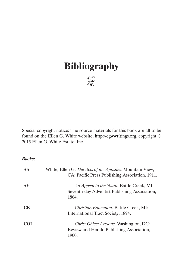# **Bibliography**



Special copyright notice: The source materials for this book are all to be found on the Ellen G. White website, http://egwwritings.org, copyright © 2015 Ellen G. White Estate, Inc.

*Books:*

| AA        | White, Ellen G. The Acts of the Apostles. Mountain View,<br>CA: Pacific Press Publishing Association, 1911. |
|-----------|-------------------------------------------------------------------------------------------------------------|
| AY        | <i>An Appeal to the Youth.</i> Battle Creek, MI:<br>Seventh-day Adventist Publishing Association,<br>1864.  |
| <b>CE</b> | . Christian Education. Battle Creek, MI:<br>International Tract Society, 1894.                              |
| COL.      | . Christ Object Lessons. Washington, DC:<br>Review and Herald Publishing Association,<br>1900.              |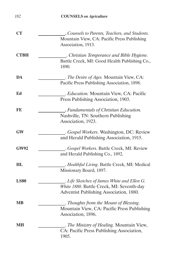| CT          | . Counsels to Parents, Teachers, and Students. |
|-------------|------------------------------------------------|
|             | Mountain View, CA: Pacific Press Publishing    |
|             | Association, 1913.                             |
| <b>CTBH</b> | . Christian Temperance and Bible Hygiene.      |
|             | Battle Creek, MI: Good Health Publishing Co.,  |
|             | 1890.                                          |
| DA          | . The Desire of Ages. Mountain View, CA:       |
|             | Pacific Press Publishing Association, 1898.    |
| Ed          | . Education. Mountain View, CA: Pacific        |
|             | Press Publishing Association, 1903.            |
| $\bf{FE}$   | . Fundamentals of Christian Education.         |
|             | Nashville, TN: Southern Publishing             |
|             | Association, 1923.                             |
| GW          | . Gospel Workers. Washington, DC: Review       |
|             | and Herald Publishing Association, 1915.       |
| <b>GW92</b> | . Gospel Workers. Battle Creek, MI: Review     |
|             | and Herald Publishing Co., 1892.               |
| HL          | . Healthful Living. Battle Creek, MI: Medical  |
|             | Missionary Board, 1897.                        |
| <b>LS80</b> | . Life Sketches of James White and Ellen G.    |
|             | White 1880. Battle Creek, MI: Seventh-day      |
|             | Adventist Publishing Association, 1880.        |
| MВ          | . Thoughts from the Mount of Blessing.         |
|             | Mountain View, CA: Pacific Press Publishing    |
|             | Association, 1896.                             |
| MН          | . The Ministry of Healing. Mountain View,      |
|             | CA: Pacific Press Publishing Association,      |
|             | 1905.                                          |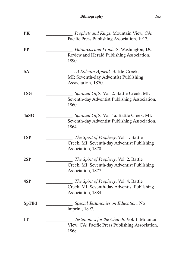| PK           | . Prophets and Kings. Mountain View, CA:        |
|--------------|-------------------------------------------------|
|              | Pacific Press Publishing Association, 1917.     |
| PP           | . Patriarchs and Prophets. Washington, DC:      |
|              | Review and Herald Publishing Association,       |
|              | 1890.                                           |
| <b>SA</b>    | . A Solemn Appeal. Battle Creek,                |
|              | MI: Seventh-day Adventist Publishing            |
|              | Association, 1870.                              |
| 1SG          | . Spiritual Gifts. Vol. 2. Battle Creek, MI:    |
|              | Seventh-day Adventist Publishing Association,   |
|              | 1860.                                           |
| 4aSG         | . Spiritual Gifts. Vol. 4a. Battle Creek, MI:   |
|              | Seventh-day Adventist Publishing Association,   |
|              | 1864.                                           |
| 1SP          | . The Spirit of Prophecy. Vol. 1. Battle        |
|              | Creek, MI: Seventh-day Adventist Publishing     |
|              | Association, 1870.                              |
| 2SP          | . The Spirit of Prophecy. Vol. 2. Battle        |
|              | Creek, MI: Seventh-day Adventist Publishing     |
|              | Association, 1877.                              |
| 4SP          | . The Spirit of Prophecy. Vol. 4. Battle        |
|              | Creek, MI: Seventh-day Adventist Publishing     |
|              | Association, 1884.                              |
| <b>SpTEd</b> | . Special Testimonies on Education. No          |
|              | imprint, 1897.                                  |
| 1T           | . Testimonies for the Church. Vol. 1. Mountain  |
|              | View, CA: Pacific Press Publishing Association, |
|              | 1868.                                           |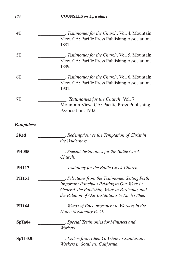| 4T                | . Testimonies for the Church. Vol. 4. Mountain  |
|-------------------|-------------------------------------------------|
|                   | View, CA: Pacific Press Publishing Association, |
|                   | 1881.                                           |
| 5T                | . Testimonies for the Church. Vol. 5. Mountain  |
|                   | View, CA: Pacific Press Publishing Association, |
|                   | 1889.                                           |
| 6T                | . Testimonies for the Church. Vol. 6. Mountain  |
|                   | View, CA: Pacific Press Publishing Association, |
|                   | 1901.                                           |
| 7T                | . Testimonies for the Church. Vol. 7.           |
|                   | Mountain View, CA: Pacific Press Publishing     |
|                   | Association, 1902.                              |
| <b>Pamphlets:</b> |                                                 |
| 2Red              | . Redemption; or the Temptation of Christ in    |
|                   | the Wilderness.                                 |
| <b>PH085</b>      | . Special Testimonies for the Battle Creek      |
|                   | Church.                                         |
| <b>PH117</b>      | . Testimony for the Battle Creek Church.        |
| <b>PH151</b>      | . Selections from the Testimonies Setting Forth |
|                   | Important Principles Relating to Our Work in    |
|                   | General, the Publishing Work in Particular, and |
|                   | the Relation of Our Institutions to Each Other. |
| <b>PH164</b>      | . Words of Encouragement to Workers in the      |
|                   | Home Missionary Field.                          |
| SpTa04            | . Special Testimonies for Ministers and         |
|                   | Workers.                                        |
| SpTb03b           | . Letters from Ellen G. White to Sanitarium     |
|                   | Workers in Southern California.                 |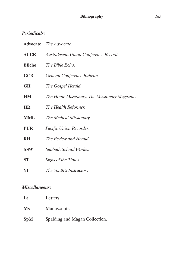## *Periodicals:*

|              | <b>Advocate</b> <i>The Advocate.</i>          |
|--------------|-----------------------------------------------|
| <b>AUCR</b>  | Australasian Union Conference Record.         |
| <b>BEcho</b> | The Bible Echo.                               |
| <b>GCB</b>   | General Conference Bulletin.                  |
| <b>GH</b>    | The Gospel Herald.                            |
| <b>HM</b>    | The Home Missionary, The Missionary Magazine. |
| <b>HR</b>    | The Health Reformer.                          |
| <b>MMis</b>  | The Medical Missionary.                       |
| <b>PUR</b>   | Pacific Union Recorder.                       |
| <b>RH</b>    | The Review and Herald.                        |
| <b>SSW</b>   | Sabbath School Worker.                        |
| <b>ST</b>    | Signs of the Times.                           |
| YI           | The Youth's Instructor.                       |

## *Miscellaneous:*

| L          | Letters.                       |
|------------|--------------------------------|
| Ms         | Manuscripts.                   |
| <b>SpM</b> | Spalding and Magan Collection. |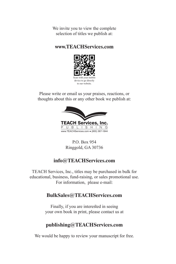We invite you to view the complete selection of titles we publish at:

#### **www.TEACHServices.com**



Please write or email us your praises, reactions, or thoughts about this or any other book we publish at:



P.O. Box 954 Ringgold, GA 30736

# **info@TEACHServices.com**

TEACH Services, Inc., titles may be purchased in bulk for educational, business, fund-raising, or sales promotional use. For information, please e-mail:

### **BulkSales@TEACHServices.com**

Finally, if you are interested in seeing your own book in print, please contact us at

### **publishing@TEACHServices.com**

We would be happy to review your manuscript for free.